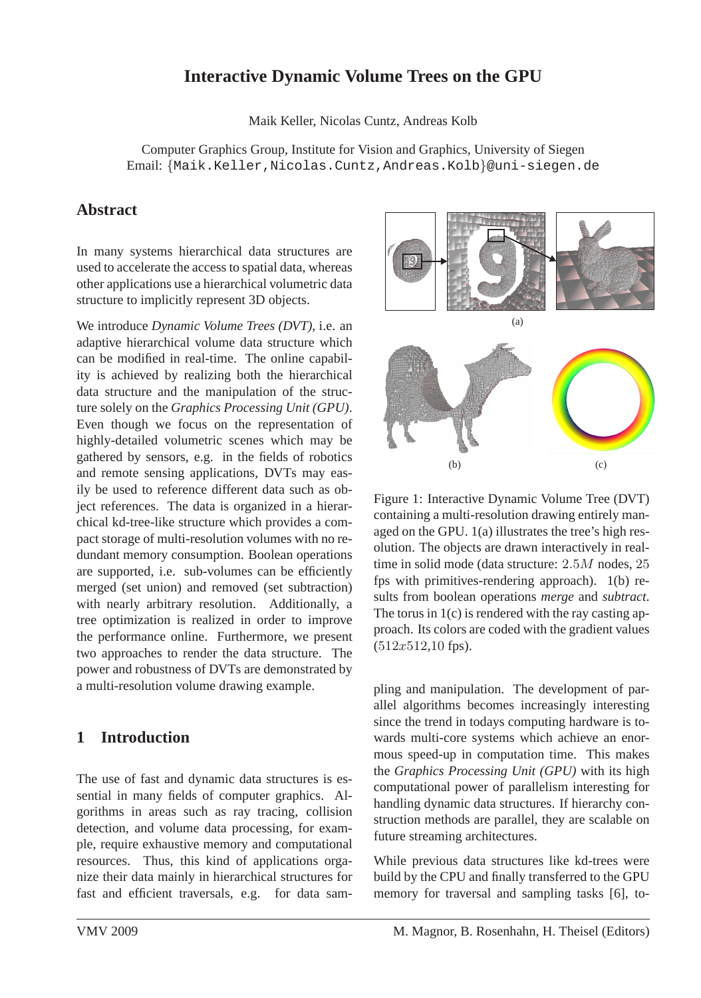# **Interactive Dynamic Volume Trees on the GPU**

Maik Keller, Nicolas Cuntz, Andreas Kolb

Computer Graphics Group, Institute for Vision and Graphics, University of Siegen Email: {Maik.Keller,Nicolas.Cuntz,Andreas.Kolb}@uni-siegen.de

# **Abstract**

In many systems hierarchical data structures are used to accelerate the access to spatial data, whereas other applications use a hierarchical volumetric data structure to implicitly represent 3D objects.

We introduce *Dynamic Volume Trees (DVT)*, i.e. an adaptive hierarchical volume data structure which can be modified in real-time. The online capability is achieved by realizing both the hierarchical data structure and the manipulation of the structure solely on the *Graphics Processing Unit (GPU)*. Even though we focus on the representation of highly-detailed volumetric scenes which may be gathered by sensors, e.g. in the fields of robotics and remote sensing applications, DVTs may easily be used to reference different data such as object references. The data is organized in a hierarchical kd-tree-like structure which provides a compact storage of multi-resolution volumes with no redundant memory consumption. Boolean operations are supported, i.e. sub-volumes can be efficiently merged (set union) and removed (set subtraction) with nearly arbitrary resolution. Additionally, a tree optimization is realized in order to improve the performance online. Furthermore, we present two approaches to render the data structure. The power and robustness of DVTs are demonstrated by a multi-resolution volume drawing example.

# **1 Introduction**

The use of fast and dynamic data structures is essential in many fields of computer graphics. Algorithms in areas such as ray tracing, collision detection, and volume data processing, for example, require exhaustive memory and computational resources. Thus, this kind of applications organize their data mainly in hierarchical structures for fast and efficient traversals, e.g. for data sam-



Figure 1: Interactive Dynamic Volume Tree (DVT) containing a multi-resolution drawing entirely managed on the GPU. 1(a) illustrates the tree's high resolution. The objects are drawn interactively in realtime in solid mode (data structure:  $2.5M$  nodes,  $25$ fps with primitives-rendering approach). 1(b) results from boolean operations *merge* and *subtract*. The torus in 1(c) is rendered with the ray casting approach. Its colors are coded with the gradient values  $(512x512,10$  fps).

pling and manipulation. The development of parallel algorithms becomes increasingly interesting since the trend in todays computing hardware is towards multi-core systems which achieve an enormous speed-up in computation time. This makes the *Graphics Processing Unit (GPU)* with its high computational power of parallelism interesting for handling dynamic data structures. If hierarchy construction methods are parallel, they are scalable on future streaming architectures.

While previous data structures like kd-trees were build by the CPU and finally transferred to the GPU memory for traversal and sampling tasks [6], to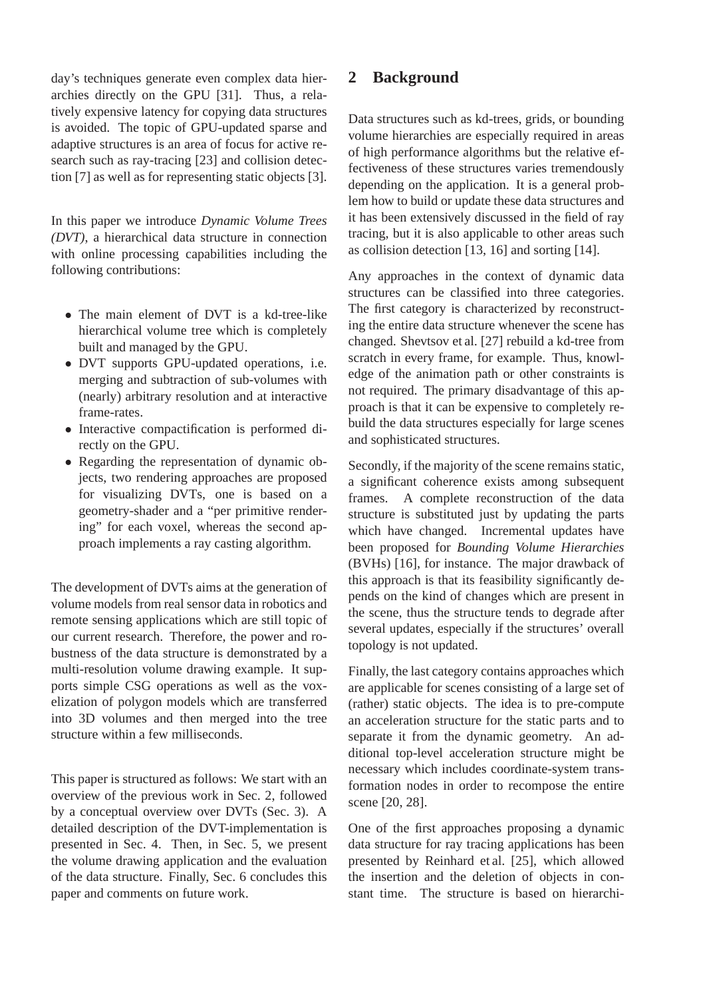day's techniques generate even complex data hierarchies directly on the GPU [31]. Thus, a relatively expensive latency for copying data structures is avoided. The topic of GPU-updated sparse and adaptive structures is an area of focus for active research such as ray-tracing [23] and collision detection [7] as well as for representing static objects [3].

In this paper we introduce *Dynamic Volume Trees (DVT)*, a hierarchical data structure in connection with online processing capabilities including the following contributions:

- The main element of DVT is a kd-tree-like hierarchical volume tree which is completely built and managed by the GPU.
- DVT supports GPU-updated operations, i.e. merging and subtraction of sub-volumes with (nearly) arbitrary resolution and at interactive frame-rates.
- Interactive compactification is performed directly on the GPU.
- Regarding the representation of dynamic objects, two rendering approaches are proposed for visualizing DVTs, one is based on a geometry-shader and a "per primitive rendering" for each voxel, whereas the second approach implements a ray casting algorithm.

The development of DVTs aims at the generation of volume models from real sensor data in robotics and remote sensing applications which are still topic of our current research. Therefore, the power and robustness of the data structure is demonstrated by a multi-resolution volume drawing example. It supports simple CSG operations as well as the voxelization of polygon models which are transferred into 3D volumes and then merged into the tree structure within a few milliseconds.

This paper is structured as follows: We start with an overview of the previous work in Sec. 2, followed by a conceptual overview over DVTs (Sec. 3). A detailed description of the DVT-implementation is presented in Sec. 4. Then, in Sec. 5, we present the volume drawing application and the evaluation of the data structure. Finally, Sec. 6 concludes this paper and comments on future work.

## **2 Background**

Data structures such as kd-trees, grids, or bounding volume hierarchies are especially required in areas of high performance algorithms but the relative effectiveness of these structures varies tremendously depending on the application. It is a general problem how to build or update these data structures and it has been extensively discussed in the field of ray tracing, but it is also applicable to other areas such as collision detection [13, 16] and sorting [14].

Any approaches in the context of dynamic data structures can be classified into three categories. The first category is characterized by reconstructing the entire data structure whenever the scene has changed. Shevtsov et al. [27] rebuild a kd-tree from scratch in every frame, for example. Thus, knowledge of the animation path or other constraints is not required. The primary disadvantage of this approach is that it can be expensive to completely rebuild the data structures especially for large scenes and sophisticated structures.

Secondly, if the majority of the scene remains static, a significant coherence exists among subsequent frames. A complete reconstruction of the data structure is substituted just by updating the parts which have changed. Incremental updates have been proposed for *Bounding Volume Hierarchies* (BVHs) [16], for instance. The major drawback of this approach is that its feasibility significantly depends on the kind of changes which are present in the scene, thus the structure tends to degrade after several updates, especially if the structures' overall topology is not updated.

Finally, the last category contains approaches which are applicable for scenes consisting of a large set of (rather) static objects. The idea is to pre-compute an acceleration structure for the static parts and to separate it from the dynamic geometry. An additional top-level acceleration structure might be necessary which includes coordinate-system transformation nodes in order to recompose the entire scene [20, 28].

One of the first approaches proposing a dynamic data structure for ray tracing applications has been presented by Reinhard et al. [25], which allowed the insertion and the deletion of objects in constant time. The structure is based on hierarchi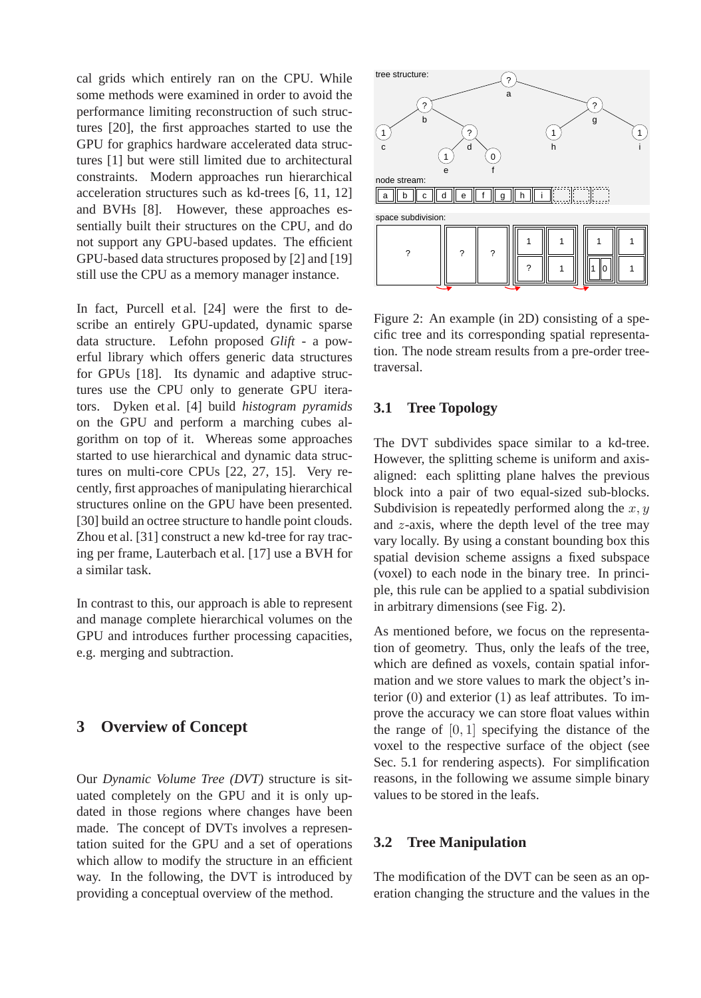cal grids which entirely ran on the CPU. While some methods were examined in order to avoid the performance limiting reconstruction of such structures [20], the first approaches started to use the GPU for graphics hardware accelerated data structures [1] but were still limited due to architectural constraints. Modern approaches run hierarchical acceleration structures such as kd-trees [6, 11, 12] and BVHs [8]. However, these approaches essentially built their structures on the CPU, and do not support any GPU-based updates. The efficient GPU-based data structures proposed by [2] and [19] still use the CPU as a memory manager instance.

In fact, Purcell et al. [24] were the first to describe an entirely GPU-updated, dynamic sparse data structure. Lefohn proposed *Glift* - a powerful library which offers generic data structures for GPUs [18]. Its dynamic and adaptive structures use the CPU only to generate GPU iterators. Dyken et al. [4] build *histogram pyramids* on the GPU and perform a marching cubes algorithm on top of it. Whereas some approaches started to use hierarchical and dynamic data structures on multi-core CPUs [22, 27, 15]. Very recently, first approaches of manipulating hierarchical structures online on the GPU have been presented. [30] build an octree structure to handle point clouds. Zhou et al. [31] construct a new kd-tree for ray tracing per frame, Lauterbach et al. [17] use a BVH for a similar task.

In contrast to this, our approach is able to represent and manage complete hierarchical volumes on the GPU and introduces further processing capacities, e.g. merging and subtraction.

# **3 Overview of Concept**

Our *Dynamic Volume Tree (DVT)* structure is situated completely on the GPU and it is only updated in those regions where changes have been made. The concept of DVTs involves a representation suited for the GPU and a set of operations which allow to modify the structure in an efficient way. In the following, the DVT is introduced by providing a conceptual overview of the method.



Figure 2: An example (in 2D) consisting of a specific tree and its corresponding spatial representation. The node stream results from a pre-order treetraversal.

## **3.1 Tree Topology**

The DVT subdivides space similar to a kd-tree. However, the splitting scheme is uniform and axisaligned: each splitting plane halves the previous block into a pair of two equal-sized sub-blocks. Subdivision is repeatedly performed along the  $x, y$ and  $z$ -axis, where the depth level of the tree may vary locally. By using a constant bounding box this spatial devision scheme assigns a fixed subspace (voxel) to each node in the binary tree. In principle, this rule can be applied to a spatial subdivision in arbitrary dimensions (see Fig. 2).

As mentioned before, we focus on the representation of geometry. Thus, only the leafs of the tree, which are defined as voxels, contain spatial information and we store values to mark the object's interior (0) and exterior (1) as leaf attributes. To improve the accuracy we can store float values within the range of  $[0, 1]$  specifying the distance of the voxel to the respective surface of the object (see Sec. 5.1 for rendering aspects). For simplification reasons, in the following we assume simple binary values to be stored in the leafs.

## **3.2 Tree Manipulation**

The modification of the DVT can be seen as an operation changing the structure and the values in the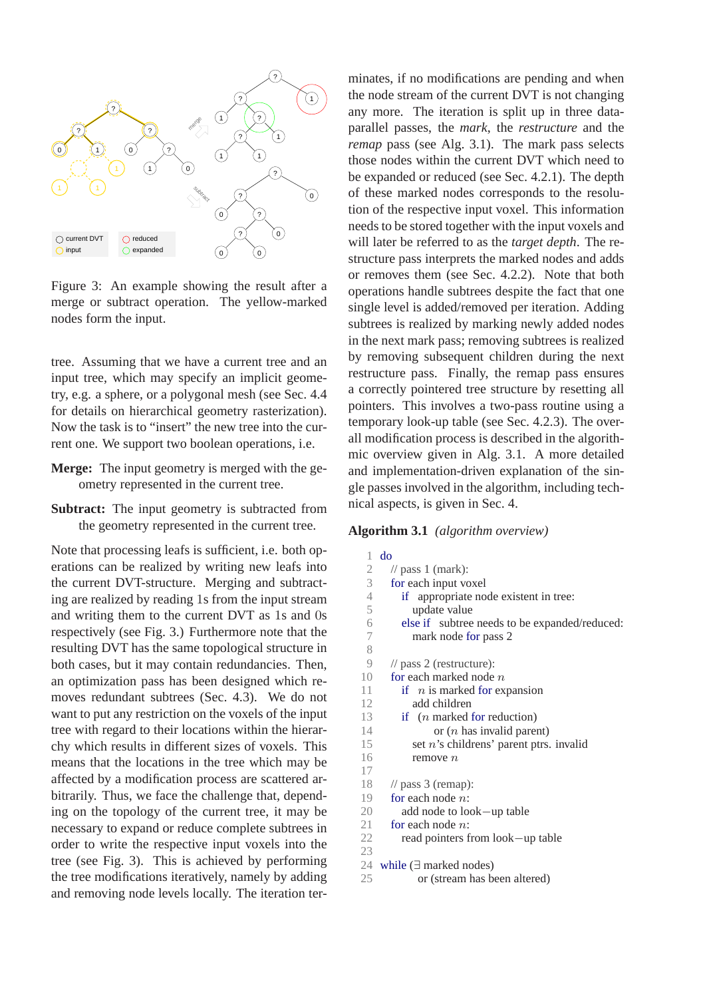

Figure 3: An example showing the result after a merge or subtract operation. The yellow-marked nodes form the input.

tree. Assuming that we have a current tree and an input tree, which may specify an implicit geometry, e.g. a sphere, or a polygonal mesh (see Sec. 4.4 for details on hierarchical geometry rasterization). Now the task is to "insert" the new tree into the current one. We support two boolean operations, i.e.

- **Merge:** The input geometry is merged with the geometry represented in the current tree.
- **Subtract:** The input geometry is subtracted from the geometry represented in the current tree.

Note that processing leafs is sufficient, i.e. both operations can be realized by writing new leafs into the current DVT-structure. Merging and subtracting are realized by reading 1s from the input stream and writing them to the current DVT as 1s and 0s respectively (see Fig. 3.) Furthermore note that the resulting DVT has the same topological structure in both cases, but it may contain redundancies. Then, an optimization pass has been designed which removes redundant subtrees (Sec. 4.3). We do not want to put any restriction on the voxels of the input tree with regard to their locations within the hierarchy which results in different sizes of voxels. This means that the locations in the tree which may be affected by a modification process are scattered arbitrarily. Thus, we face the challenge that, depending on the topology of the current tree, it may be necessary to expand or reduce complete subtrees in order to write the respective input voxels into the tree (see Fig. 3). This is achieved by performing the tree modifications iteratively, namely by adding and removing node levels locally. The iteration terminates, if no modifications are pending and when the node stream of the current DVT is not changing any more. The iteration is split up in three dataparallel passes, the *mark*, the *restructure* and the *remap* pass (see Alg. 3.1). The mark pass selects those nodes within the current DVT which need to be expanded or reduced (see Sec. 4.2.1). The depth of these marked nodes corresponds to the resolution of the respective input voxel. This information needs to be stored together with the input voxels and will later be referred to as the *target depth*. The restructure pass interprets the marked nodes and adds or removes them (see Sec. 4.2.2). Note that both operations handle subtrees despite the fact that one single level is added/removed per iteration. Adding subtrees is realized by marking newly added nodes in the next mark pass; removing subtrees is realized by removing subsequent children during the next restructure pass. Finally, the remap pass ensures a correctly pointered tree structure by resetting all pointers. This involves a two-pass routine using a temporary look-up table (see Sec. 4.2.3). The overall modification process is described in the algorithmic overview given in Alg. 3.1. A more detailed and implementation-driven explanation of the single passes involved in the algorithm, including technical aspects, is given in Sec. 4.

#### **Algorithm 3.1** *(algorithm overview)*

| 1                | do                                            |
|------------------|-----------------------------------------------|
| $\mathfrak{2}$   | // pass 1 (mark):                             |
| 3                | for each input voxel                          |
| $\overline{4}$   | if appropriate node existent in tree:         |
| 5                | update value                                  |
| 6                | else if subtree needs to be expanded/reduced: |
| $\boldsymbol{7}$ | mark node for pass 2                          |
| 8                |                                               |
| 9                | $\frac{1}{2}$ pass 2 (restructure):           |
| 10               | for each marked node $n$                      |
| 11               | if $n$ is marked for expansion                |
| 12               | add children                                  |
| 13               | if $(n$ marked for reduction)                 |
| 14               | or $(n$ has invalid parent)                   |
| 15               | set $n$ 's childrens' parent ptrs. invalid    |
| 16               | remove n                                      |
| 17               |                                               |
| 18               | $\frac{1}{2}$ pass 3 (remap):                 |
| 19               | for each node $n$ :                           |
| 20               | add node to look—up table                     |
| 21               | for each node $n$ :                           |
| 22               | read pointers from look—up table              |
| 23               |                                               |
| 24               | while $(\exists$ marked nodes)                |
| 25               | or (stream has been altered)                  |
|                  |                                               |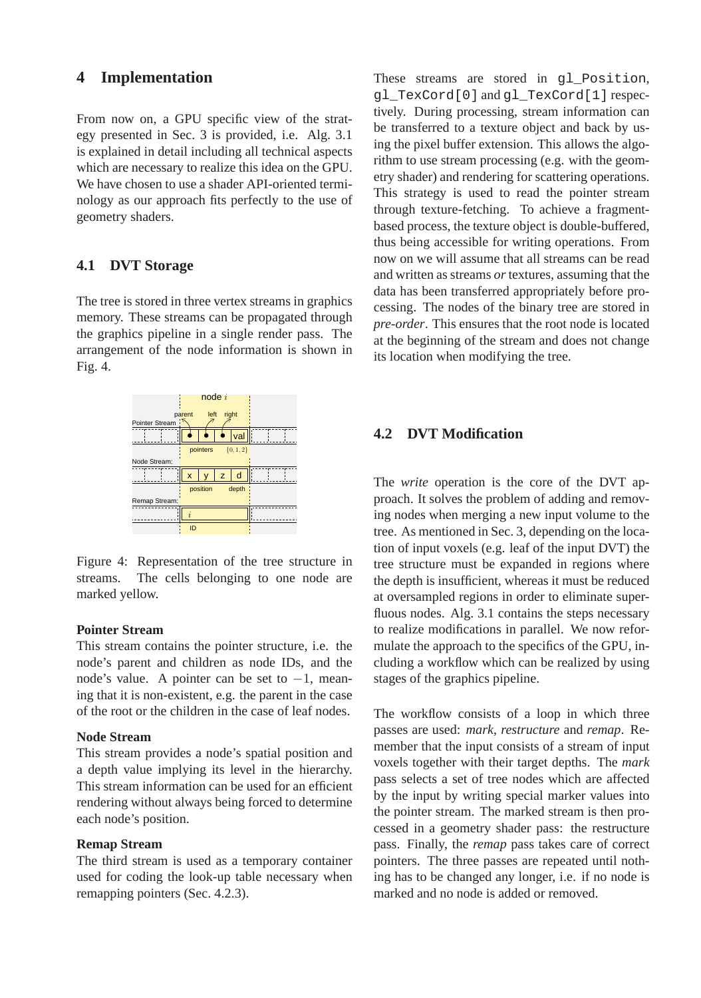# **4 Implementation**

From now on, a GPU specific view of the strategy presented in Sec. 3 is provided, i.e. Alg. 3.1 is explained in detail including all technical aspects which are necessary to realize this idea on the GPU. We have chosen to use a shader API-oriented terminology as our approach fits perfectly to the use of geometry shaders.

## **4.1 DVT Storage**

The tree is stored in three vertex streams in graphics memory. These streams can be propagated through the graphics pipeline in a single render pass. The arrangement of the node information is shown in Fig. 4.



Figure 4: Representation of the tree structure in streams. The cells belonging to one node are marked yellow.

#### **Pointer Stream**

This stream contains the pointer structure, i.e. the node's parent and children as node IDs, and the node's value. A pointer can be set to  $-1$ , meaning that it is non-existent, e.g. the parent in the case of the root or the children in the case of leaf nodes.

## **Node Stream**

This stream provides a node's spatial position and a depth value implying its level in the hierarchy. This stream information can be used for an efficient rendering without always being forced to determine each node's position.

#### **Remap Stream**

The third stream is used as a temporary container used for coding the look-up table necessary when remapping pointers (Sec. 4.2.3).

These streams are stored in q1 Position, gl\_TexCord[0] and gl\_TexCord[1] respectively. During processing, stream information can be transferred to a texture object and back by using the pixel buffer extension. This allows the algorithm to use stream processing (e.g. with the geometry shader) and rendering for scattering operations. This strategy is used to read the pointer stream through texture-fetching. To achieve a fragmentbased process, the texture object is double-buffered, thus being accessible for writing operations. From now on we will assume that all streams can be read and written as streams *or* textures, assuming that the data has been transferred appropriately before processing. The nodes of the binary tree are stored in *pre-order*. This ensures that the root node is located at the beginning of the stream and does not change its location when modifying the tree.

## **4.2 DVT Modification**

The *write* operation is the core of the DVT approach. It solves the problem of adding and removing nodes when merging a new input volume to the tree. As mentioned in Sec. 3, depending on the location of input voxels (e.g. leaf of the input DVT) the tree structure must be expanded in regions where the depth is insufficient, whereas it must be reduced at oversampled regions in order to eliminate superfluous nodes. Alg. 3.1 contains the steps necessary to realize modifications in parallel. We now reformulate the approach to the specifics of the GPU, including a workflow which can be realized by using stages of the graphics pipeline.

The workflow consists of a loop in which three passes are used: *mark*, *restructure* and *remap*. Remember that the input consists of a stream of input voxels together with their target depths. The *mark* pass selects a set of tree nodes which are affected by the input by writing special marker values into the pointer stream. The marked stream is then processed in a geometry shader pass: the restructure pass. Finally, the *remap* pass takes care of correct pointers. The three passes are repeated until nothing has to be changed any longer, i.e. if no node is marked and no node is added or removed.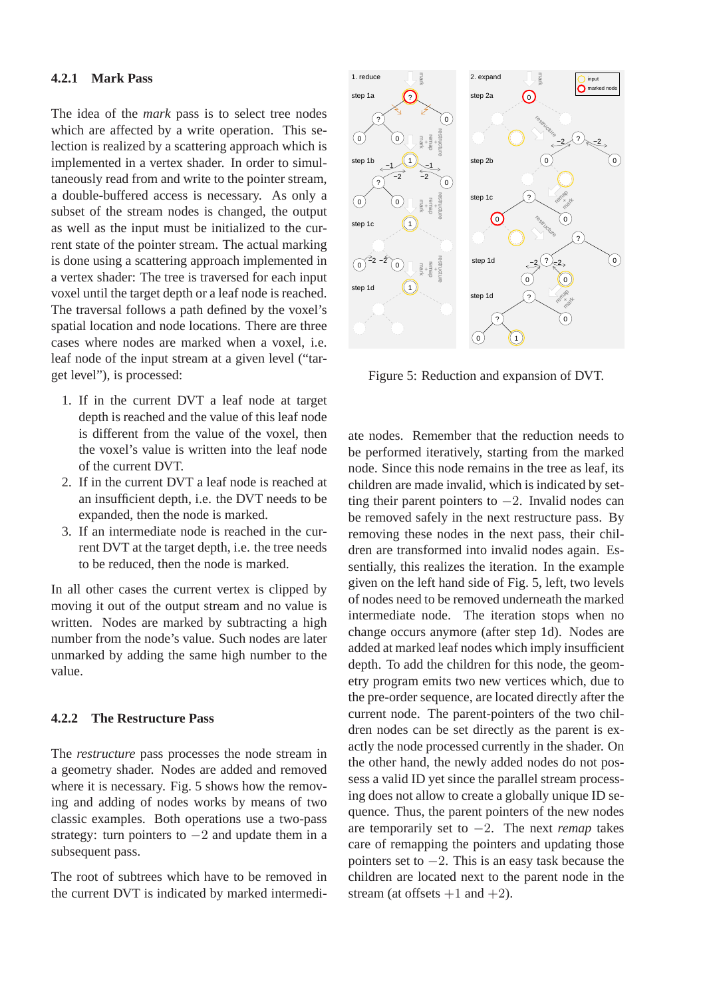### **4.2.1 Mark Pass**

The idea of the *mark* pass is to select tree nodes which are affected by a write operation. This selection is realized by a scattering approach which is implemented in a vertex shader. In order to simultaneously read from and write to the pointer stream, a double-buffered access is necessary. As only a subset of the stream nodes is changed, the output as well as the input must be initialized to the current state of the pointer stream. The actual marking is done using a scattering approach implemented in a vertex shader: The tree is traversed for each input voxel until the target depth or a leaf node is reached. The traversal follows a path defined by the voxel's spatial location and node locations. There are three cases where nodes are marked when a voxel, i.e. leaf node of the input stream at a given level ("target level"), is processed:

- 1. If in the current DVT a leaf node at target depth is reached and the value of this leaf node is different from the value of the voxel, then the voxel's value is written into the leaf node of the current DVT.
- 2. If in the current DVT a leaf node is reached at an insufficient depth, i.e. the DVT needs to be expanded, then the node is marked.
- 3. If an intermediate node is reached in the current DVT at the target depth, i.e. the tree needs to be reduced, then the node is marked.

In all other cases the current vertex is clipped by moving it out of the output stream and no value is written. Nodes are marked by subtracting a high number from the node's value. Such nodes are later unmarked by adding the same high number to the value.

#### **4.2.2 The Restructure Pass**

The *restructure* pass processes the node stream in a geometry shader. Nodes are added and removed where it is necessary. Fig. 5 shows how the removing and adding of nodes works by means of two classic examples. Both operations use a two-pass strategy: turn pointers to  $-2$  and update them in a subsequent pass.

The root of subtrees which have to be removed in the current DVT is indicated by marked intermedi-



Figure 5: Reduction and expansion of DVT.

ate nodes. Remember that the reduction needs to be performed iteratively, starting from the marked node. Since this node remains in the tree as leaf, its children are made invalid, which is indicated by setting their parent pointers to  $-2$ . Invalid nodes can be removed safely in the next restructure pass. By removing these nodes in the next pass, their children are transformed into invalid nodes again. Essentially, this realizes the iteration. In the example given on the left hand side of Fig. 5, left, two levels of nodes need to be removed underneath the marked intermediate node. The iteration stops when no change occurs anymore (after step 1d). Nodes are added at marked leaf nodes which imply insufficient depth. To add the children for this node, the geometry program emits two new vertices which, due to the pre-order sequence, are located directly after the current node. The parent-pointers of the two children nodes can be set directly as the parent is exactly the node processed currently in the shader. On the other hand, the newly added nodes do not possess a valid ID yet since the parallel stream processing does not allow to create a globally unique ID sequence. Thus, the parent pointers of the new nodes are temporarily set to −2. The next *remap* takes care of remapping the pointers and updating those pointers set to  $-2$ . This is an easy task because the children are located next to the parent node in the stream (at offsets  $+1$  and  $+2$ ).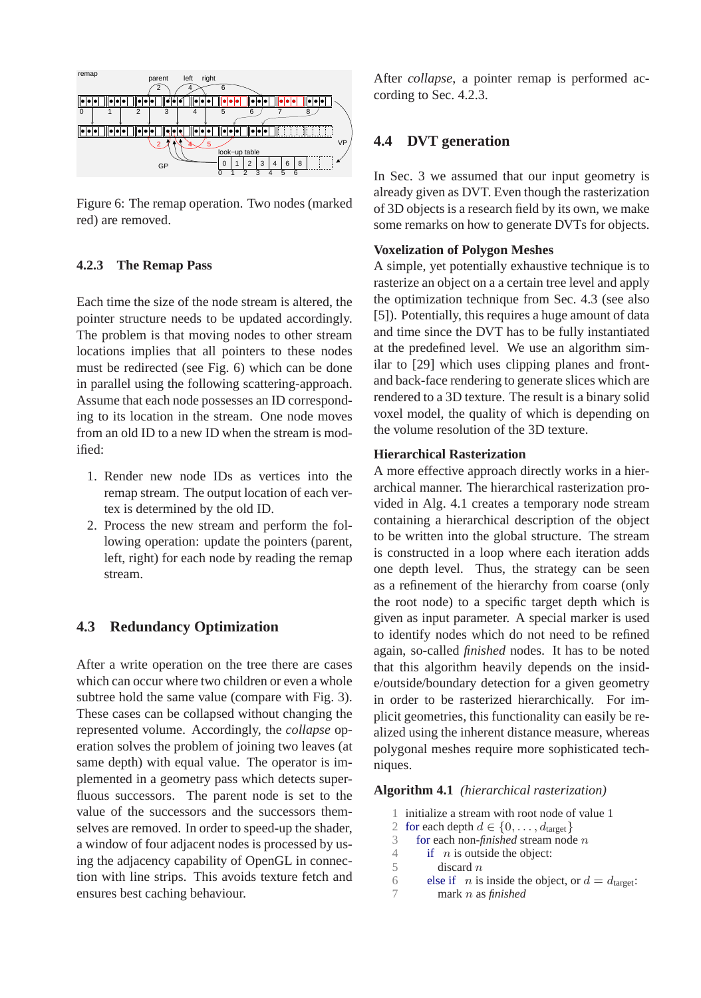

Figure 6: The remap operation. Two nodes (marked red) are removed.

## **4.2.3 The Remap Pass**

Each time the size of the node stream is altered, the pointer structure needs to be updated accordingly. The problem is that moving nodes to other stream locations implies that all pointers to these nodes must be redirected (see Fig. 6) which can be done in parallel using the following scattering-approach. Assume that each node possesses an ID corresponding to its location in the stream. One node moves from an old ID to a new ID when the stream is modified:

- 1. Render new node IDs as vertices into the remap stream. The output location of each vertex is determined by the old ID.
- 2. Process the new stream and perform the following operation: update the pointers (parent, left, right) for each node by reading the remap stream.

## **4.3 Redundancy Optimization**

After a write operation on the tree there are cases which can occur where two children or even a whole subtree hold the same value (compare with Fig. 3). These cases can be collapsed without changing the represented volume. Accordingly, the *collapse* operation solves the problem of joining two leaves (at same depth) with equal value. The operator is implemented in a geometry pass which detects superfluous successors. The parent node is set to the value of the successors and the successors themselves are removed. In order to speed-up the shader, a window of four adjacent nodes is processed by using the adjacency capability of OpenGL in connection with line strips. This avoids texture fetch and ensures best caching behaviour.

After *collapse*, a pointer remap is performed according to Sec. 4.2.3.

## **4.4 DVT generation**

In Sec. 3 we assumed that our input geometry is already given as DVT. Even though the rasterization of 3D objects is a research field by its own, we make some remarks on how to generate DVTs for objects.

## **Voxelization of Polygon Meshes**

A simple, yet potentially exhaustive technique is to rasterize an object on a a certain tree level and apply the optimization technique from Sec. 4.3 (see also [5]). Potentially, this requires a huge amount of data and time since the DVT has to be fully instantiated at the predefined level. We use an algorithm similar to [29] which uses clipping planes and frontand back-face rendering to generate slices which are rendered to a 3D texture. The result is a binary solid voxel model, the quality of which is depending on the volume resolution of the 3D texture.

## **Hierarchical Rasterization**

A more effective approach directly works in a hierarchical manner. The hierarchical rasterization provided in Alg. 4.1 creates a temporary node stream containing a hierarchical description of the object to be written into the global structure. The stream is constructed in a loop where each iteration adds one depth level. Thus, the strategy can be seen as a refinement of the hierarchy from coarse (only the root node) to a specific target depth which is given as input parameter. A special marker is used to identify nodes which do not need to be refined again, so-called *finished* nodes. It has to be noted that this algorithm heavily depends on the inside/outside/boundary detection for a given geometry in order to be rasterized hierarchically. For implicit geometries, this functionality can easily be realized using the inherent distance measure, whereas polygonal meshes require more sophisticated techniques.

**Algorithm 4.1** *(hierarchical rasterization)*

|   | 1 initialize a stream with root node of value 1                     |
|---|---------------------------------------------------------------------|
|   | 2 for each depth $d \in \{0, \ldots, d_{\text{target}}\}\$          |
| 3 | for each non- $\hat{t}$ <i>nished</i> stream node $n$               |
| 4 | if $n$ is outside the object:                                       |
| 5 | discard $n$                                                         |
| 6 | else if <i>n</i> is inside the object, or $d = d_{\text{target}}$ : |
|   | mark $n$ as <i>finished</i>                                         |
|   |                                                                     |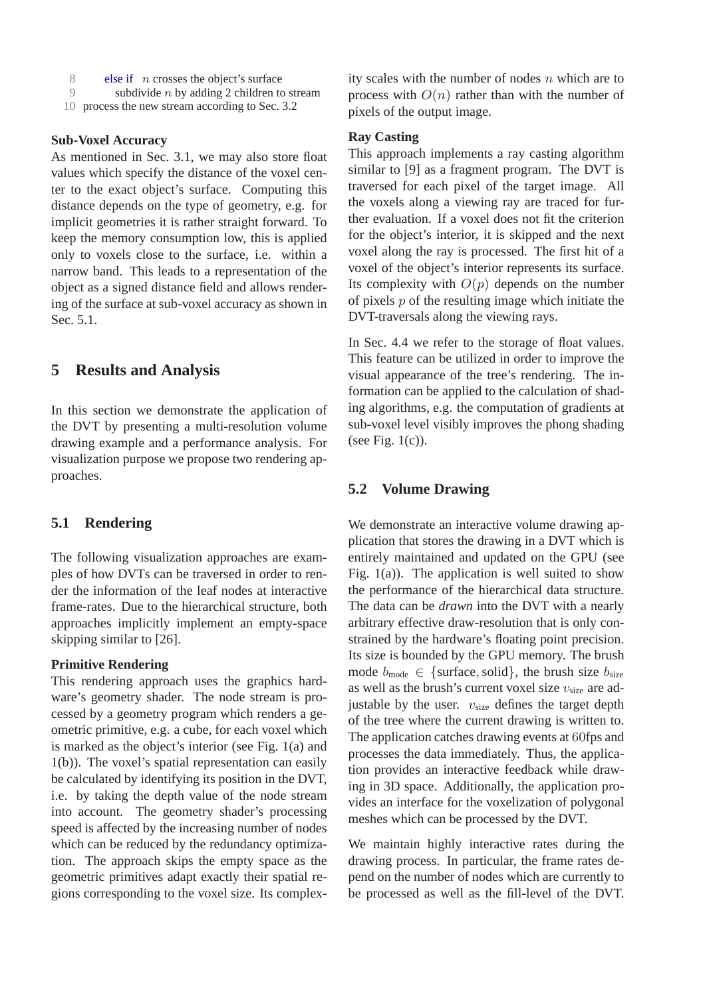- 8 else if  $n$  crosses the object's surface<br>9 subdivide  $n$  by adding 2 children to
- subdivide  $n$  by adding 2 children to stream
- 10 process the new stream according to Sec. 3.2

#### **Sub-Voxel Accuracy**

As mentioned in Sec. 3.1, we may also store float values which specify the distance of the voxel center to the exact object's surface. Computing this distance depends on the type of geometry, e.g. for implicit geometries it is rather straight forward. To keep the memory consumption low, this is applied only to voxels close to the surface, i.e. within a narrow band. This leads to a representation of the object as a signed distance field and allows rendering of the surface at sub-voxel accuracy as shown in Sec. 5.1.

## **5 Results and Analysis**

In this section we demonstrate the application of the DVT by presenting a multi-resolution volume drawing example and a performance analysis. For visualization purpose we propose two rendering approaches.

### **5.1 Rendering**

The following visualization approaches are examples of how DVTs can be traversed in order to render the information of the leaf nodes at interactive frame-rates. Due to the hierarchical structure, both approaches implicitly implement an empty-space skipping similar to [26].

## **Primitive Rendering**

This rendering approach uses the graphics hardware's geometry shader. The node stream is processed by a geometry program which renders a geometric primitive, e.g. a cube, for each voxel which is marked as the object's interior (see Fig. 1(a) and 1(b)). The voxel's spatial representation can easily be calculated by identifying its position in the DVT, i.e. by taking the depth value of the node stream into account. The geometry shader's processing speed is affected by the increasing number of nodes which can be reduced by the redundancy optimization. The approach skips the empty space as the geometric primitives adapt exactly their spatial regions corresponding to the voxel size. Its complexity scales with the number of nodes  $n$  which are to process with  $O(n)$  rather than with the number of pixels of the output image.

### **Ray Casting**

This approach implements a ray casting algorithm similar to [9] as a fragment program. The DVT is traversed for each pixel of the target image. All the voxels along a viewing ray are traced for further evaluation. If a voxel does not fit the criterion for the object's interior, it is skipped and the next voxel along the ray is processed. The first hit of a voxel of the object's interior represents its surface. Its complexity with  $O(p)$  depends on the number of pixels  $p$  of the resulting image which initiate the DVT-traversals along the viewing rays.

In Sec. 4.4 we refer to the storage of float values. This feature can be utilized in order to improve the visual appearance of the tree's rendering. The information can be applied to the calculation of shading algorithms, e.g. the computation of gradients at sub-voxel level visibly improves the phong shading (see Fig.  $1(c)$ ).

### **5.2 Volume Drawing**

We demonstrate an interactive volume drawing application that stores the drawing in a DVT which is entirely maintained and updated on the GPU (see Fig. 1(a)). The application is well suited to show the performance of the hierarchical data structure. The data can be *drawn* into the DVT with a nearly arbitrary effective draw-resolution that is only constrained by the hardware's floating point precision. Its size is bounded by the GPU memory. The brush mode  $b_{\text{mode}} \in \{\text{surface}, \text{solid}\}\$ , the brush size  $b_{\text{size}}$ as well as the brush's current voxel size  $v<sub>size</sub>$  are adjustable by the user.  $v_{\text{size}}$  defines the target depth of the tree where the current drawing is written to. The application catches drawing events at 60fps and processes the data immediately. Thus, the application provides an interactive feedback while drawing in 3D space. Additionally, the application provides an interface for the voxelization of polygonal meshes which can be processed by the DVT.

We maintain highly interactive rates during the drawing process. In particular, the frame rates depend on the number of nodes which are currently to be processed as well as the fill-level of the DVT.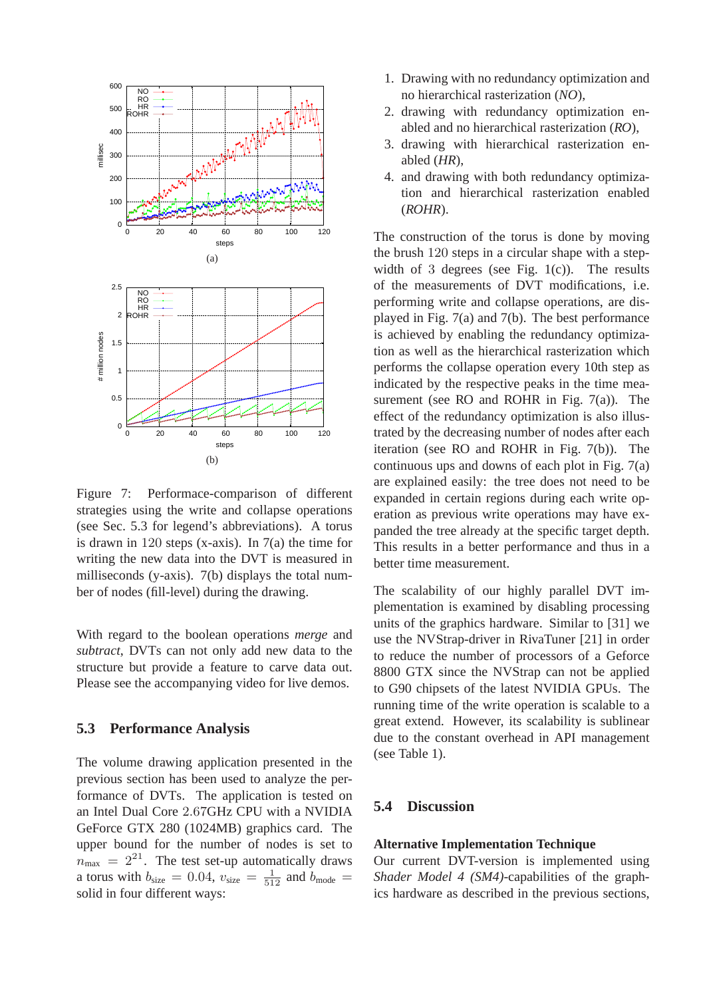

Figure 7: Performace-comparison of different strategies using the write and collapse operations (see Sec. 5.3 for legend's abbreviations). A torus is drawn in 120 steps (x-axis). In 7(a) the time for writing the new data into the DVT is measured in milliseconds (y-axis). 7(b) displays the total number of nodes (fill-level) during the drawing.

With regard to the boolean operations *merge* and *subtract*, DVTs can not only add new data to the structure but provide a feature to carve data out. Please see the accompanying video for live demos.

## **5.3 Performance Analysis**

The volume drawing application presented in the previous section has been used to analyze the performance of DVTs. The application is tested on an Intel Dual Core 2.67GHz CPU with a NVIDIA GeForce GTX 280 (1024MB) graphics card. The upper bound for the number of nodes is set to  $n_{\text{max}}$  =  $2^{21}$ . The test set-up automatically draws a torus with  $b_{\text{size}} = 0.04$ ,  $v_{\text{size}} = \frac{1}{512}$  and  $b_{\text{mode}} =$ solid in four different ways:

- 1. Drawing with no redundancy optimization and no hierarchical rasterization (*NO*),
- 2. drawing with redundancy optimization enabled and no hierarchical rasterization (*RO*),
- 3. drawing with hierarchical rasterization enabled (*HR*),
- 4. and drawing with both redundancy optimization and hierarchical rasterization enabled (*ROHR*).

The construction of the torus is done by moving the brush 120 steps in a circular shape with a stepwidth of 3 degrees (see Fig.  $1(c)$ ). The results of the measurements of DVT modifications, i.e. performing write and collapse operations, are displayed in Fig. 7(a) and 7(b). The best performance is achieved by enabling the redundancy optimization as well as the hierarchical rasterization which performs the collapse operation every 10th step as indicated by the respective peaks in the time measurement (see RO and ROHR in Fig. 7(a)). The effect of the redundancy optimization is also illustrated by the decreasing number of nodes after each iteration (see RO and ROHR in Fig. 7(b)). The continuous ups and downs of each plot in Fig. 7(a) are explained easily: the tree does not need to be expanded in certain regions during each write operation as previous write operations may have expanded the tree already at the specific target depth. This results in a better performance and thus in a better time measurement.

The scalability of our highly parallel DVT implementation is examined by disabling processing units of the graphics hardware. Similar to [31] we use the NVStrap-driver in RivaTuner [21] in order to reduce the number of processors of a Geforce 8800 GTX since the NVStrap can not be applied to G90 chipsets of the latest NVIDIA GPUs. The running time of the write operation is scalable to a great extend. However, its scalability is sublinear due to the constant overhead in API management (see Table 1).

## **5.4 Discussion**

#### **Alternative Implementation Technique**

Our current DVT-version is implemented using *Shader Model 4 (SM4)*-capabilities of the graphics hardware as described in the previous sections,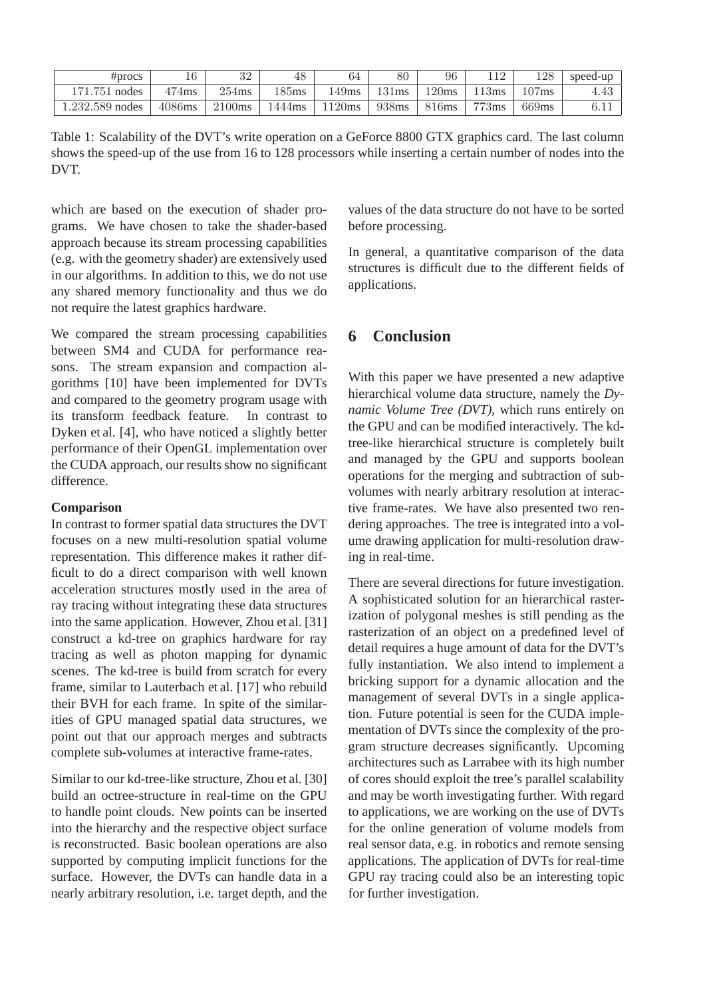| #process        | 16       | ററ<br>⊿ں | 48               | 64    | $_{80}$ | 96    | 119      | 128   | speed-up |
|-----------------|----------|----------|------------------|-------|---------|-------|----------|-------|----------|
| 171.751 nodes   | $474$ ms | $254$ ms | 185ms            | .49ms | 131ms   | 120ms | 13ms     | 107ms | 4.43     |
| 1.232.589 nodes | 4086ms   | 2100ms   | $1444 \text{ms}$ | 120ms | 938ms   | 816ms | $773$ ms | 669ms | 0.11     |

Table 1: Scalability of the DVT's write operation on a GeForce 8800 GTX graphics card. The last column shows the speed-up of the use from 16 to 128 processors while inserting a certain number of nodes into the DVT.

which are based on the execution of shader programs. We have chosen to take the shader-based approach because its stream processing capabilities (e.g. with the geometry shader) are extensively used in our algorithms. In addition to this, we do not use any shared memory functionality and thus we do not require the latest graphics hardware.

We compared the stream processing capabilities between SM4 and CUDA for performance reasons. The stream expansion and compaction algorithms [10] have been implemented for DVTs and compared to the geometry program usage with its transform feedback feature. In contrast to Dyken et al. [4], who have noticed a slightly better performance of their OpenGL implementation over the CUDA approach, our results show no significant difference.

### **Comparison**

In contrast to former spatial data structures the DVT focuses on a new multi-resolution spatial volume representation. This difference makes it rather difficult to do a direct comparison with well known acceleration structures mostly used in the area of ray tracing without integrating these data structures into the same application. However, Zhou et al. [31] construct a kd-tree on graphics hardware for ray tracing as well as photon mapping for dynamic scenes. The kd-tree is build from scratch for every frame, similar to Lauterbach et al. [17] who rebuild their BVH for each frame. In spite of the similarities of GPU managed spatial data structures, we point out that our approach merges and subtracts complete sub-volumes at interactive frame-rates.

Similar to our kd-tree-like structure, Zhou et al. [30] build an octree-structure in real-time on the GPU to handle point clouds. New points can be inserted into the hierarchy and the respective object surface is reconstructed. Basic boolean operations are also supported by computing implicit functions for the surface. However, the DVTs can handle data in a nearly arbitrary resolution, i.e. target depth, and the values of the data structure do not have to be sorted before processing.

In general, a quantitative comparison of the data structures is difficult due to the different fields of applications.

## **6 Conclusion**

With this paper we have presented a new adaptive hierarchical volume data structure, namely the *Dynamic Volume Tree (DVT)*, which runs entirely on the GPU and can be modified interactively. The kdtree-like hierarchical structure is completely built and managed by the GPU and supports boolean operations for the merging and subtraction of subvolumes with nearly arbitrary resolution at interactive frame-rates. We have also presented two rendering approaches. The tree is integrated into a volume drawing application for multi-resolution drawing in real-time.

There are several directions for future investigation. A sophisticated solution for an hierarchical rasterization of polygonal meshes is still pending as the rasterization of an object on a predefined level of detail requires a huge amount of data for the DVT's fully instantiation. We also intend to implement a bricking support for a dynamic allocation and the management of several DVTs in a single application. Future potential is seen for the CUDA implementation of DVTs since the complexity of the program structure decreases significantly. Upcoming architectures such as Larrabee with its high number of cores should exploit the tree's parallel scalability and may be worth investigating further. With regard to applications, we are working on the use of DVTs for the online generation of volume models from real sensor data, e.g. in robotics and remote sensing applications. The application of DVTs for real-time GPU ray tracing could also be an interesting topic for further investigation.